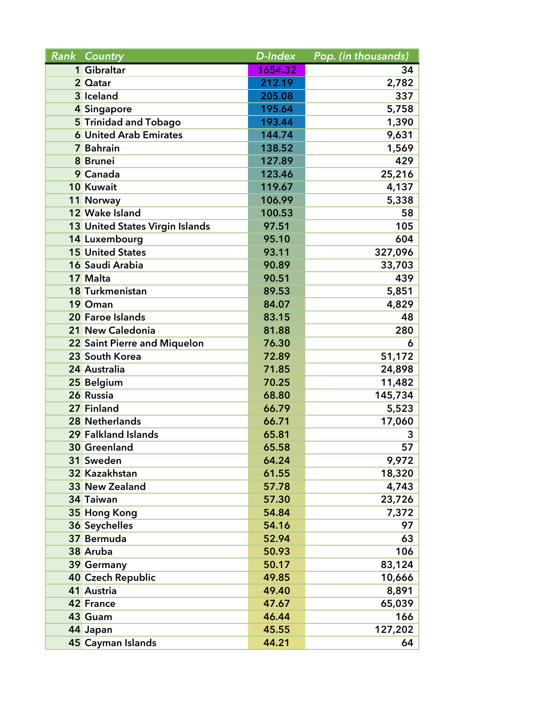| <b>Rank Country</b>                    | D-Index | Pop. (in thousands) |
|----------------------------------------|---------|---------------------|
| 1 Gibraltar                            | 1654.32 | 34                  |
| 2 Qatar                                | 212.19  | 2,782               |
| 3 Iceland                              | 205.08  | 337                 |
| 4 Singapore                            | 195.64  | 5,758               |
| 5 Trinidad and Tobago                  | 193.44  | 1,390               |
| <b>6</b> United Arab Emirates          | 144.74  | 9,631               |
| 7 Bahrain                              | 138.52  | 1,569               |
| 8 Brunei                               | 127.89  | 429                 |
| 9 Canada                               | 123.46  | 25,216              |
| 10 Kuwait                              | 119.67  | 4,137               |
| 11 Norway                              | 106.99  | 5,338               |
| 12 Wake Island                         | 100.53  | 58                  |
| <b>13 United States Virgin Islands</b> | 97.51   | 105                 |
| 14 Luxembourg                          | 95.10   | 604                 |
| <b>15 United States</b>                | 93.11   | 327,096             |
| 16 Saudi Arabia                        | 90.89   | 33,703              |
| 17 Malta                               | 90.51   | 439                 |
| 18 Turkmenistan                        | 89.53   | 5,851               |
| 19 Oman                                | 84.07   | 4,829               |
| 20 Faroe Islands                       | 83.15   | 48                  |
| 21 New Caledonia                       | 81.88   | 280                 |
| 22 Saint Pierre and Miquelon           | 76.30   | 6                   |
| 23 South Korea                         | 72.89   | 51,172              |
| 24 Australia                           | 71.85   | 24,898              |
| 25 Belgium                             | 70.25   | 11,482              |
| 26 Russia                              | 68.80   | 145,734             |
| 27 Finland                             | 66.79   | 5,523               |
| 28 Netherlands                         | 66.71   | 17,060              |
| 29 Falkland Islands                    | 65.81   | 3                   |
| <b>30 Greenland</b>                    | 65.58   | 57                  |
| 31 Sweden                              | 64.24   | 9,972               |
| 32 Kazakhstan                          | 61.55   | 18,320              |
| 33 New Zealand                         | 57.78   | 4,743               |
| 34 Taiwan                              | 57.30   | 23,726              |
| 35 Hong Kong                           | 54.84   | 7,372               |
| 36 Seychelles                          | 54.16   | 97                  |
| 37 Bermuda                             | 52.94   | 63                  |
| 38 Aruba                               | 50.93   | 106                 |
| 39 Germany                             | 50.17   | 83,124              |
| <b>40 Czech Republic</b>               | 49.85   | 10,666              |
| 41 Austria                             | 49.40   | 8,891               |
| <b>42 France</b>                       | 47.67   | 65,039              |
| 43 Guam                                | 46.44   | 166                 |
| 44 Japan                               | 45.55   | 127,202             |
| 45 Cayman Islands                      | 44.21   | 64                  |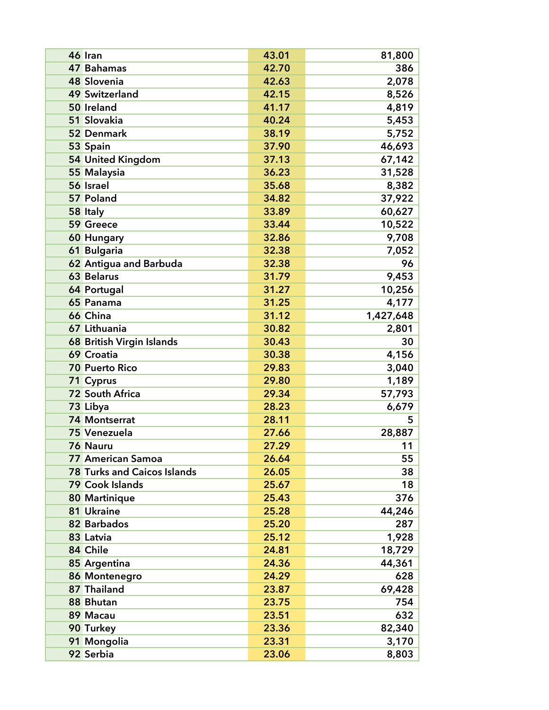| 46 Iran                            | 43.01 | 81,800    |
|------------------------------------|-------|-----------|
| 47 Bahamas                         | 42.70 | 386       |
| 48 Slovenia                        | 42.63 | 2,078     |
| <b>49 Switzerland</b>              | 42.15 | 8,526     |
| 50 Ireland                         | 41.17 | 4,819     |
| 51 Slovakia                        | 40.24 | 5,453     |
| 52 Denmark                         | 38.19 | 5,752     |
| 53 Spain                           | 37.90 | 46,693    |
| 54 United Kingdom                  | 37.13 | 67,142    |
| 55 Malaysia                        | 36.23 | 31,528    |
| 56 Israel                          | 35.68 | 8,382     |
| 57 Poland                          | 34.82 | 37,922    |
| 58 Italy                           | 33.89 | 60,627    |
| 59 Greece                          | 33.44 | 10,522    |
| <b>60 Hungary</b>                  | 32.86 | 9,708     |
| 61 Bulgaria                        | 32.38 | 7,052     |
| 62 Antigua and Barbuda             | 32.38 | 96        |
| <b>63 Belarus</b>                  | 31.79 | 9,453     |
| 64 Portugal                        | 31.27 | 10,256    |
| 65 Panama                          | 31.25 | 4,177     |
| 66 China                           | 31.12 | 1,427,648 |
| 67 Lithuania                       | 30.82 | 2,801     |
| 68 British Virgin Islands          | 30.43 | 30        |
| 69 Croatia                         | 30.38 | 4,156     |
| <b>70 Puerto Rico</b>              | 29.83 | 3,040     |
| 71 Cyprus                          | 29.80 | 1,189     |
| <b>72 South Africa</b>             | 29.34 | 57,793    |
| 73 Libya                           | 28.23 | 6,679     |
| <b>74 Montserrat</b>               | 28.11 | 5         |
| 75 Venezuela                       | 27.66 | 28,887    |
| 76 Nauru                           | 27.29 | 11        |
| <b>77 American Samoa</b>           | 26.64 | 55        |
| <b>78 Turks and Caicos Islands</b> | 26.05 | 38        |
| 79 Cook Islands                    | 25.67 | 18        |
| 80 Martinique                      | 25.43 | 376       |
| 81 Ukraine                         | 25.28 | 44,246    |
| 82 Barbados                        | 25.20 | 287       |
| 83 Latvia                          | 25.12 | 1,928     |
| 84 Chile                           | 24.81 | 18,729    |
| 85 Argentina                       | 24.36 | 44,361    |
| 86 Montenegro                      | 24.29 | 628       |
| 87 Thailand                        | 23.87 | 69,428    |
| 88 Bhutan                          | 23.75 | 754       |
| 89 Macau                           | 23.51 | 632       |
| 90 Turkey                          | 23.36 | 82,340    |
| 91 Mongolia                        | 23.31 | 3,170     |
| 92 Serbia                          | 23.06 | 8,803     |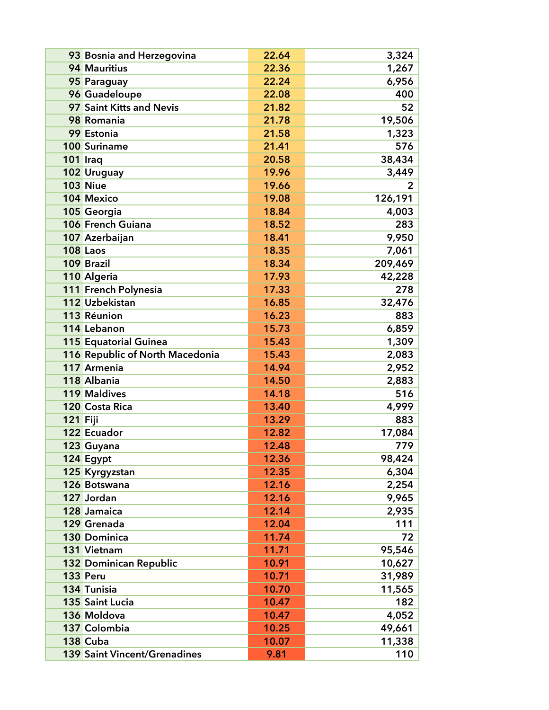| 93 Bosnia and Herzegovina           | 22.64 | 3,324   |
|-------------------------------------|-------|---------|
| 94 Mauritius                        | 22.36 | 1,267   |
| 95 Paraguay                         | 22.24 | 6,956   |
| 96 Guadeloupe                       | 22.08 | 400     |
| 97 Saint Kitts and Nevis            | 21.82 | 52      |
| 98 Romania                          | 21.78 | 19,506  |
| 99 Estonia                          | 21.58 | 1,323   |
| <b>100 Suriname</b>                 | 21.41 | 576     |
| 101 Iraq                            | 20.58 | 38,434  |
| 102 Uruguay                         | 19.96 | 3,449   |
| <b>103 Niue</b>                     | 19.66 | 2       |
| 104 Mexico                          | 19.08 | 126,191 |
| 105 Georgia                         | 18.84 | 4,003   |
| 106 French Guiana                   | 18.52 | 283     |
| 107 Azerbaijan                      | 18.41 | 9,950   |
| 108 Laos                            | 18.35 | 7,061   |
| 109 Brazil                          | 18.34 | 209,469 |
| 110 Algeria                         | 17.93 | 42,228  |
| 111 French Polynesia                | 17.33 | 278     |
| 112 Uzbekistan                      | 16.85 | 32,476  |
| 113 Réunion                         | 16.23 | 883     |
| 114 Lebanon                         | 15.73 | 6,859   |
| 115 Equatorial Guinea               | 15.43 | 1,309   |
| 116 Republic of North Macedonia     | 15.43 | 2,083   |
| 117 Armenia                         | 14.94 | 2,952   |
| 118 Albania                         | 14.50 | 2,883   |
| 119 Maldives                        | 14.18 | 516     |
| 120 Costa Rica                      | 13.40 | 4,999   |
| 121 Fiji                            | 13.29 | 883     |
| 122 Ecuador                         | 12.82 | 17,084  |
| 123 Guyana                          | 12.48 | 779     |
| 124 Egypt                           | 12.36 | 98,424  |
| 125 Kyrgyzstan                      | 12.35 | 6,304   |
| 126 Botswana                        | 12.16 | 2,254   |
| 127 Jordan                          | 12.16 | 9,965   |
| 128 Jamaica                         | 12.14 | 2,935   |
| 129 Grenada                         | 12.04 | 111     |
| <b>130 Dominica</b>                 | 11.74 | 72      |
| 131 Vietnam                         | 11.71 | 95,546  |
| <b>132 Dominican Republic</b>       | 10.91 | 10,627  |
| 133 Peru                            | 10.71 | 31,989  |
| 134 Tunisia                         | 10.70 | 11,565  |
| <b>135 Saint Lucia</b>              | 10.47 | 182     |
| 136 Moldova                         | 10.47 | 4,052   |
| 137 Colombia                        | 10.25 | 49,661  |
| 138 Cuba                            | 10.07 | 11,338  |
| <b>139 Saint Vincent/Grenadines</b> | 9.81  | 110     |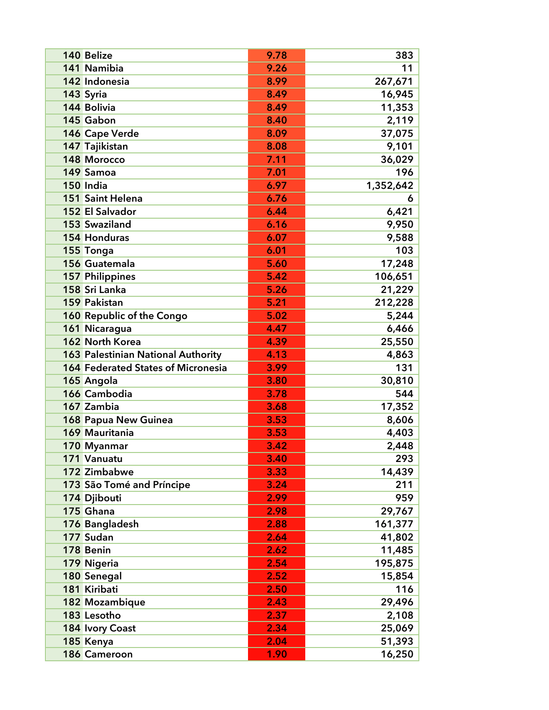| 140 Belize                                | 9.78 | 383       |
|-------------------------------------------|------|-----------|
| 141 Namibia                               | 9.26 | 11        |
| 142 Indonesia                             | 8.99 | 267,671   |
| 143 Syria                                 | 8.49 | 16,945    |
| 144 Bolivia                               | 8.49 | 11,353    |
| 145 Gabon                                 | 8.40 | 2,119     |
| 146 Cape Verde                            | 8.09 | 37,075    |
| 147 Tajikistan                            | 8.08 | 9,101     |
| 148 Morocco                               | 7.11 | 36,029    |
| 149 Samoa                                 | 7.01 | 196       |
| 150 India                                 | 6.97 | 1,352,642 |
| <b>151 Saint Helena</b>                   | 6.76 | 6         |
| 152 El Salvador                           | 6.44 | 6,421     |
| <b>153 Swaziland</b>                      | 6.16 | 9,950     |
| <b>154 Honduras</b>                       | 6.07 | 9,588     |
| 155 Tonga                                 | 6.01 | 103       |
| 156 Guatemala                             | 5.60 | 17,248    |
| <b>157 Philippines</b>                    | 5.42 | 106,651   |
| 158 Sri Lanka                             | 5.26 | 21,229    |
| <b>159 Pakistan</b>                       | 5.21 | 212,228   |
| 160 Republic of the Congo                 | 5.02 | 5,244     |
| 161 Nicaragua                             | 4.47 | 6,466     |
| 162 North Korea                           | 4.39 | 25,550    |
| 163 Palestinian National Authority        | 4.13 | 4,863     |
| <b>164 Federated States of Micronesia</b> | 3.99 | 131       |
| 165 Angola                                | 3.80 | 30,810    |
| 166 Cambodia                              | 3.78 | 544       |
| 167 Zambia                                | 3.68 | 17,352    |
| 168 Papua New Guinea                      | 3.53 | 8,606     |
| 169 Mauritania                            | 3.53 | 4,403     |
| 170 Myanmar                               | 3.42 | 2,448     |
| 171 Vanuatu                               | 3.40 | 293       |
| 172 Zimbabwe                              | 3.33 | 14,439    |
| 173 São Tomé and Príncipe                 | 3.24 | 211       |
| 174 Djibouti                              | 2.99 | 959       |
| 175 Ghana                                 | 2.98 | 29,767    |
| 176 Bangladesh                            | 2.88 | 161,377   |
| 177 Sudan                                 | 2.64 | 41,802    |
| 178 Benin                                 | 2.62 | 11,485    |
| 179 Nigeria                               | 2.54 | 195,875   |
| 180 Senegal                               | 2.52 | 15,854    |
| 181 Kiribati                              | 2.50 | 116       |
| 182 Mozambique                            | 2.43 | 29,496    |
| 183 Lesotho                               | 2.37 | 2,108     |
| 184 Ivory Coast                           | 2.34 | 25,069    |
| 185 Kenya                                 | 2.04 | 51,393    |
| 186 Cameroon                              | 1.90 | 16,250    |